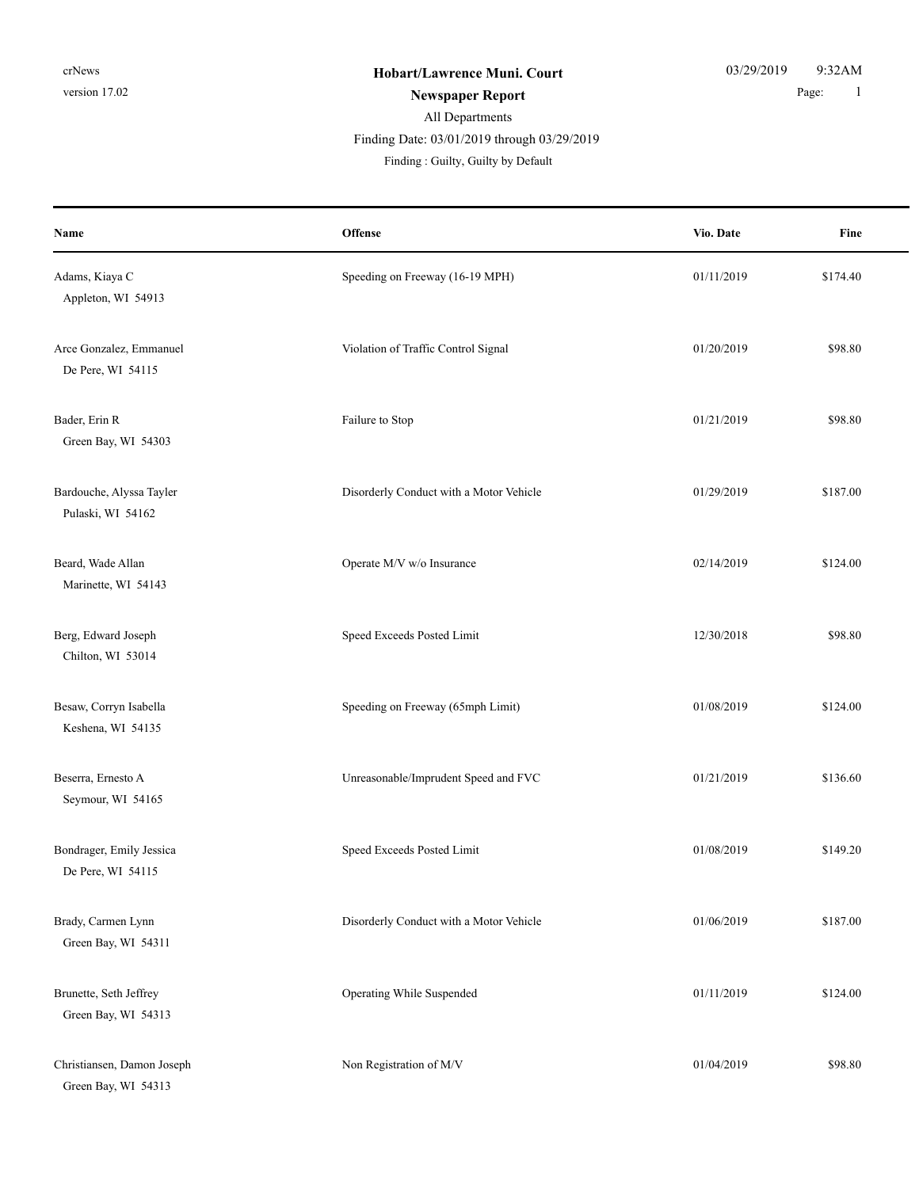# All Departments Finding : Guilty, Guilty by Default Finding Date: 03/01/2019 through 03/29/2019

| Name                                              | Offense                                 | Vio. Date  | Fine     |
|---------------------------------------------------|-----------------------------------------|------------|----------|
| Adams, Kiaya C<br>Appleton, WI 54913              | Speeding on Freeway (16-19 MPH)         | 01/11/2019 | \$174.40 |
| Arce Gonzalez, Emmanuel<br>De Pere, WI 54115      | Violation of Traffic Control Signal     | 01/20/2019 | \$98.80  |
| Bader, Erin R<br>Green Bay, WI 54303              | Failure to Stop                         | 01/21/2019 | \$98.80  |
| Bardouche, Alyssa Tayler<br>Pulaski, WI 54162     | Disorderly Conduct with a Motor Vehicle | 01/29/2019 | \$187.00 |
| Beard, Wade Allan<br>Marinette, WI 54143          | Operate M/V w/o Insurance               | 02/14/2019 | \$124.00 |
| Berg, Edward Joseph<br>Chilton, WI 53014          | Speed Exceeds Posted Limit              | 12/30/2018 | \$98.80  |
| Besaw, Corryn Isabella<br>Keshena, WI 54135       | Speeding on Freeway (65mph Limit)       | 01/08/2019 | \$124.00 |
| Beserra, Ernesto A<br>Seymour, WI 54165           | Unreasonable/Imprudent Speed and FVC    | 01/21/2019 | \$136.60 |
| Bondrager, Emily Jessica<br>De Pere, WI 54115     | Speed Exceeds Posted Limit              | 01/08/2019 | \$149.20 |
| Brady, Carmen Lynn<br>Green Bay, WI 54311         | Disorderly Conduct with a Motor Vehicle | 01/06/2019 | \$187.00 |
| Brunette, Seth Jeffrey<br>Green Bay, WI 54313     | Operating While Suspended               | 01/11/2019 | \$124.00 |
| Christiansen, Damon Joseph<br>Green Bay, WI 54313 | Non Registration of M/V                 | 01/04/2019 | \$98.80  |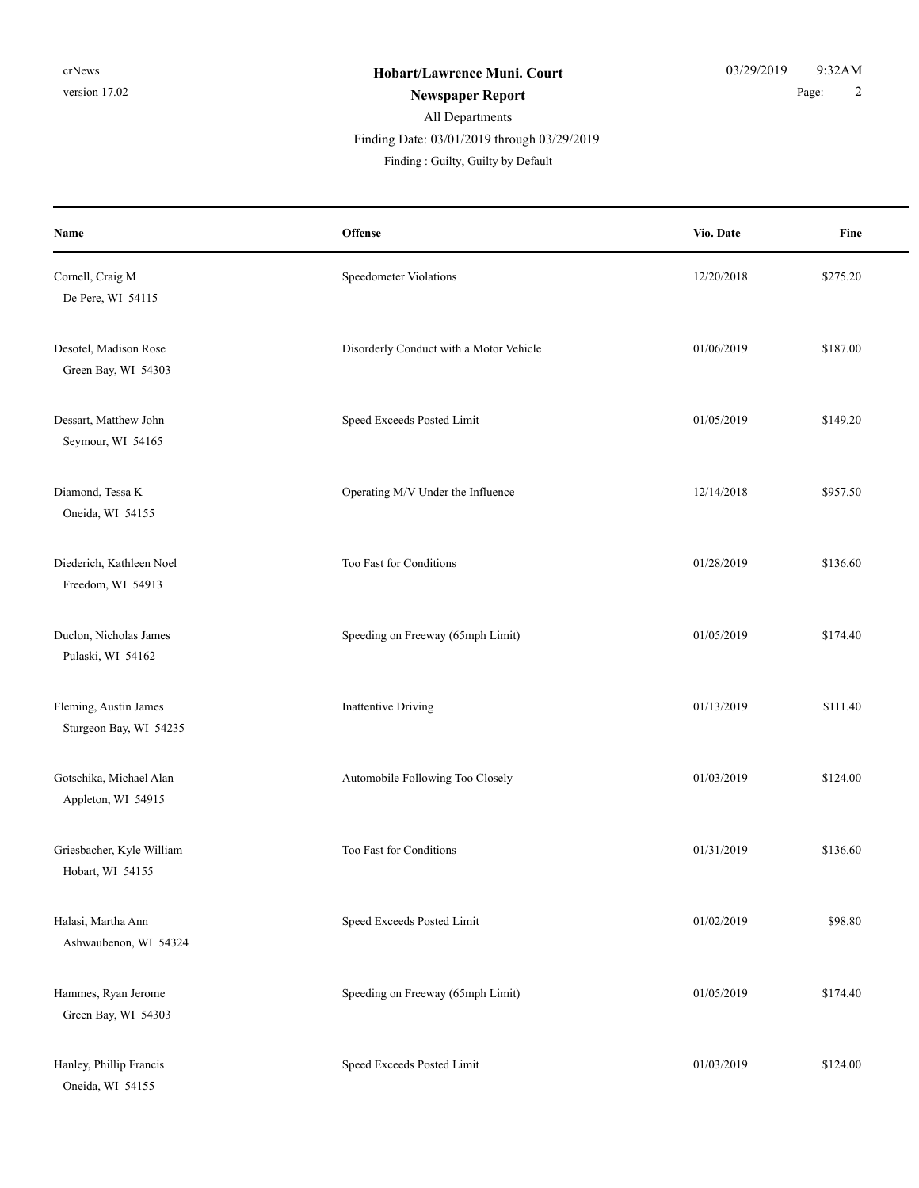### All Departments **Newspaper Report** 2 Finding Date: 03/01/2019 through 03/29/2019

Finding : Guilty, Guilty by Default

| Name                                            | Offense                                 | Vio. Date  | Fine     |
|-------------------------------------------------|-----------------------------------------|------------|----------|
| Cornell, Craig M<br>De Pere, WI 54115           | Speedometer Violations                  | 12/20/2018 | \$275.20 |
| Desotel, Madison Rose<br>Green Bay, WI 54303    | Disorderly Conduct with a Motor Vehicle | 01/06/2019 | \$187.00 |
| Dessart, Matthew John<br>Seymour, WI 54165      | Speed Exceeds Posted Limit              | 01/05/2019 | \$149.20 |
| Diamond, Tessa K<br>Oneida, WI 54155            | Operating M/V Under the Influence       | 12/14/2018 | \$957.50 |
| Diederich, Kathleen Noel<br>Freedom, WI 54913   | Too Fast for Conditions                 | 01/28/2019 | \$136.60 |
| Duclon, Nicholas James<br>Pulaski, WI 54162     | Speeding on Freeway (65mph Limit)       | 01/05/2019 | \$174.40 |
| Fleming, Austin James<br>Sturgeon Bay, WI 54235 | <b>Inattentive Driving</b>              | 01/13/2019 | \$111.40 |
| Gotschika, Michael Alan<br>Appleton, WI 54915   | Automobile Following Too Closely        | 01/03/2019 | \$124.00 |
| Griesbacher, Kyle William<br>Hobart, WI 54155   | Too Fast for Conditions                 | 01/31/2019 | \$136.60 |
| Halasi, Martha Ann<br>Ashwaubenon, WI 54324     | Speed Exceeds Posted Limit              | 01/02/2019 | \$98.80  |
| Hammes, Ryan Jerome<br>Green Bay, WI 54303      | Speeding on Freeway (65mph Limit)       | 01/05/2019 | \$174.40 |
| Hanley, Phillip Francis<br>Oneida, WI 54155     | Speed Exceeds Posted Limit              | 01/03/2019 | \$124.00 |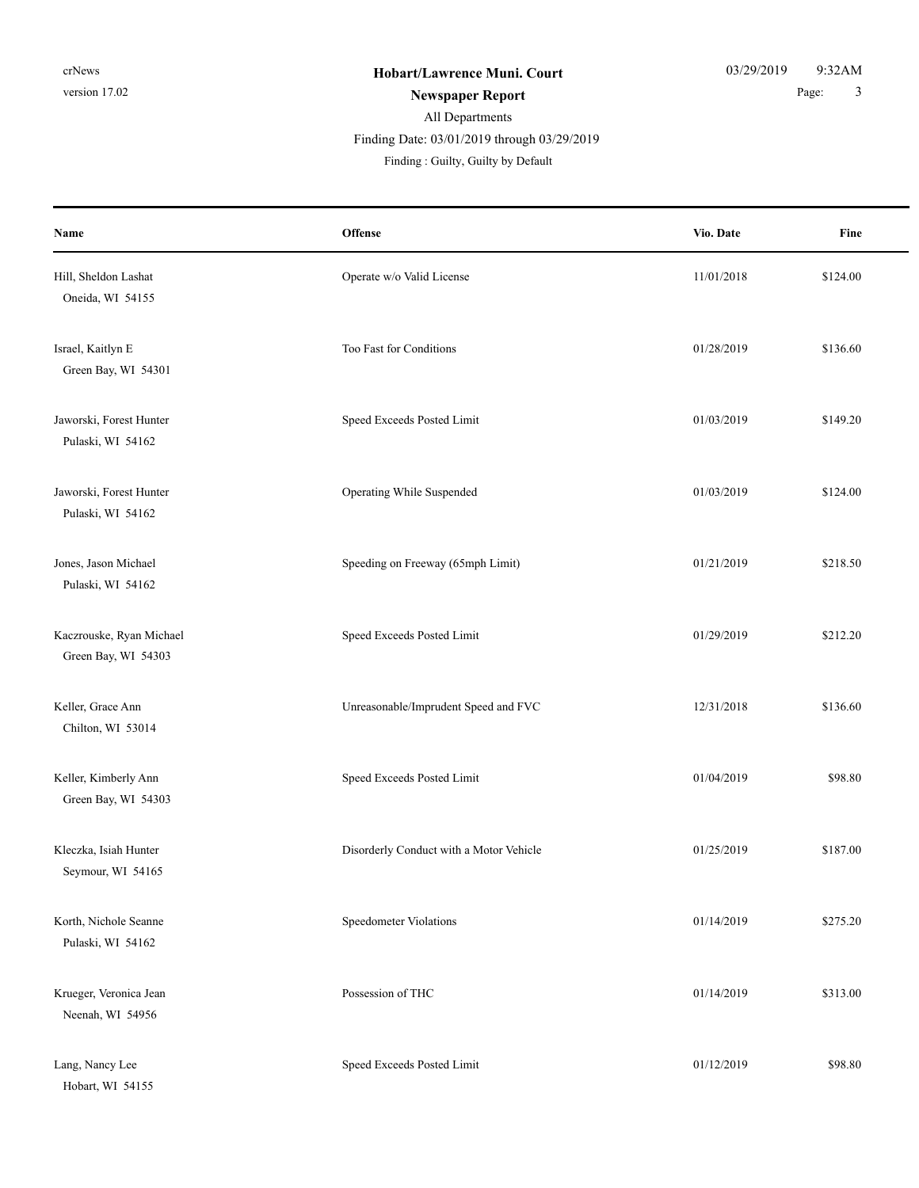#### All Departments **Newspaper Report** 2 and 2 and 2 and 2 and 2 and 2 and 2 and 2 and 2 and 2 and 2 and 2 and 2 and 2 and 2 and 3 and 3 and 3 and 3 and 3 and 3 and 3 and 3 and 3 and 3 and 3 and 3 and 3 and 3 and 3 and 3 and 3 and 3 and 3 and Finding : Guilty, Guilty by Default Finding Date: 03/01/2019 through 03/29/2019

**Offense** Fine **Name Vio. Date** Hill, Sheldon Lashat **11/01/2018** S124.00 Oneida, WI 54155 Israel, Kaitlyn E State Conditions and Too Fast for Conditions 61/28/2019 \$136.60 Green Bay, WI 54301 Jaworski, Forest Hunter Speed Exceeds Posted Limit 01/03/2019 \$149.20 Pulaski, WI 54162 Jaworski, Forest Hunter Operating While Suspended 01/03/2019 \$124.00 Pulaski, WI 54162 Jones, Jason Michael Speeding on Freeway (65mph Limit) 01/21/2019 \$218.50 Pulaski, WI 54162 Kaczrouske, Ryan Michael Speed Exceeds Posted Limit 61/29/2019 \$212.20 Green Bay, WI 54303 Keller, Grace Ann Speed and FVC 12/31/2018 \$136.60 Chilton, WI 53014 Keller, Kimberly Ann Speed Exceeds Posted Limit 01/04/2019 \$98.80 Green Bay, WI 54303 Kleczka, Isiah Hunter **Disorderly Conduct with a Motor Vehicle** 01/25/2019 \$187.00 Seymour, WI 54165 Korth, Nichole Seanne Speedometer Violations 61/14/2019 \$275.20 Pulaski, WI 54162 Krueger, Veronica Jean **Possession of THC** 61/14/2019 \$313.00 Neenah, WI 54956 Lang, Nancy Lee Speed Exceeds Posted Limit 61/12/2019 \$98.80 Hobart, WI 54155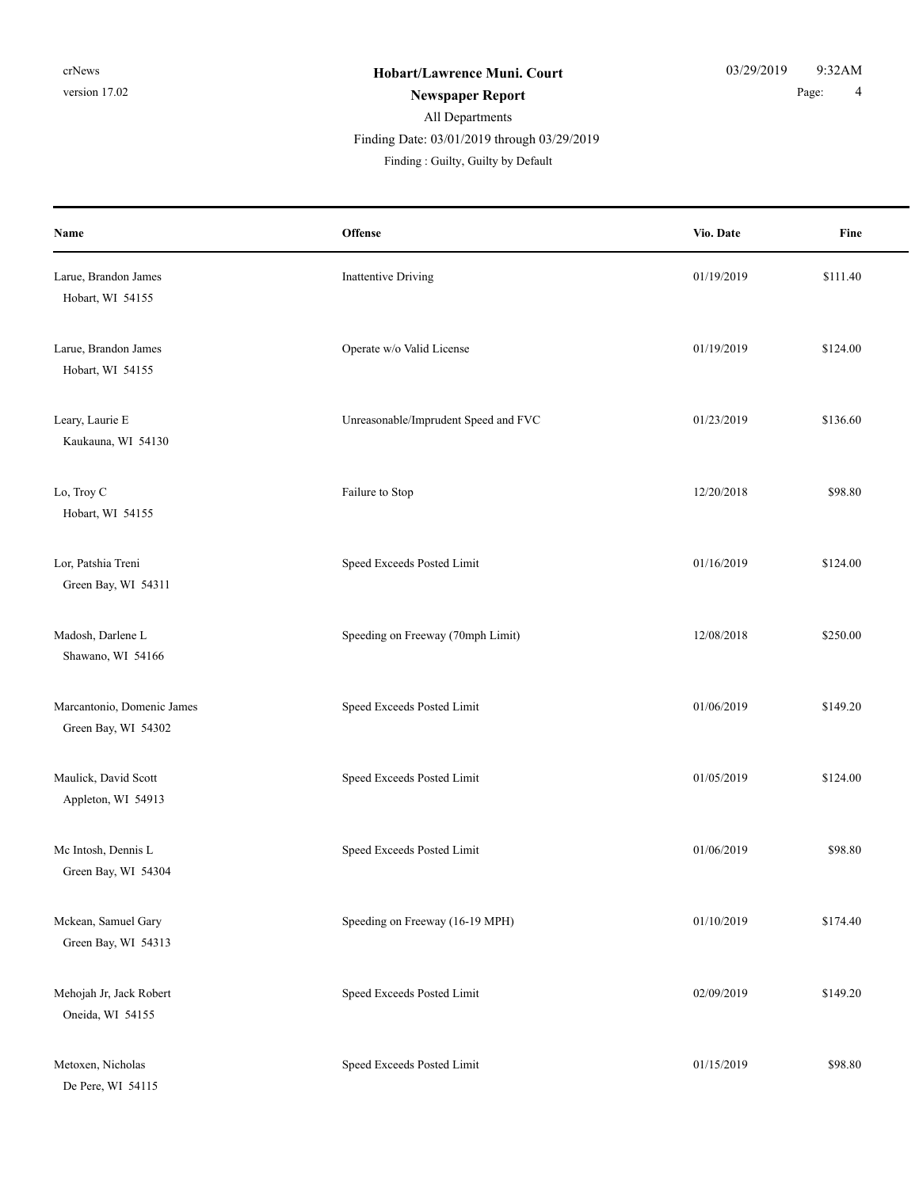### All Departments **Newspaper Report** 2 and 2 and 2 and 2 and 2 and 2 and 2 and 2 and 2 and 2 and 2 and 2 and 2 and 2 and 2 and 2 and 2 and 2 and 2 and 2 and 2 and 2 and 2 and 2 and 2 and 2 and 2 and 2 and 2 and 2 and 2 and 2 and 2 and 2 and Finding : Guilty, Guilty by Default Finding Date: 03/01/2019 through 03/29/2019

| Name                                              | Offense                              | Vio. Date  | Fine     |
|---------------------------------------------------|--------------------------------------|------------|----------|
| Larue, Brandon James<br>Hobart, WI 54155          | <b>Inattentive Driving</b>           | 01/19/2019 | \$111.40 |
| Larue, Brandon James<br>Hobart, WI 54155          | Operate w/o Valid License            | 01/19/2019 | \$124.00 |
| Leary, Laurie E<br>Kaukauna, WI 54130             | Unreasonable/Imprudent Speed and FVC | 01/23/2019 | \$136.60 |
| Lo, Troy C<br>Hobart, WI 54155                    | Failure to Stop                      | 12/20/2018 | \$98.80  |
| Lor, Patshia Treni<br>Green Bay, WI 54311         | Speed Exceeds Posted Limit           | 01/16/2019 | \$124.00 |
| Madosh, Darlene L<br>Shawano, WI 54166            | Speeding on Freeway (70mph Limit)    | 12/08/2018 | \$250.00 |
| Marcantonio, Domenic James<br>Green Bay, WI 54302 | Speed Exceeds Posted Limit           | 01/06/2019 | \$149.20 |
| Maulick, David Scott<br>Appleton, WI 54913        | Speed Exceeds Posted Limit           | 01/05/2019 | \$124.00 |
| Mc Intosh, Dennis L<br>Green Bay, WI 54304        | Speed Exceeds Posted Limit           | 01/06/2019 | \$98.80  |
| Mckean, Samuel Gary<br>Green Bay, WI 54313        | Speeding on Freeway (16-19 MPH)      | 01/10/2019 | \$174.40 |
| Mehojah Jr, Jack Robert<br>Oneida, WI 54155       | Speed Exceeds Posted Limit           | 02/09/2019 | \$149.20 |
| Metoxen, Nicholas<br>De Pere, WI 54115            | Speed Exceeds Posted Limit           | 01/15/2019 | \$98.80  |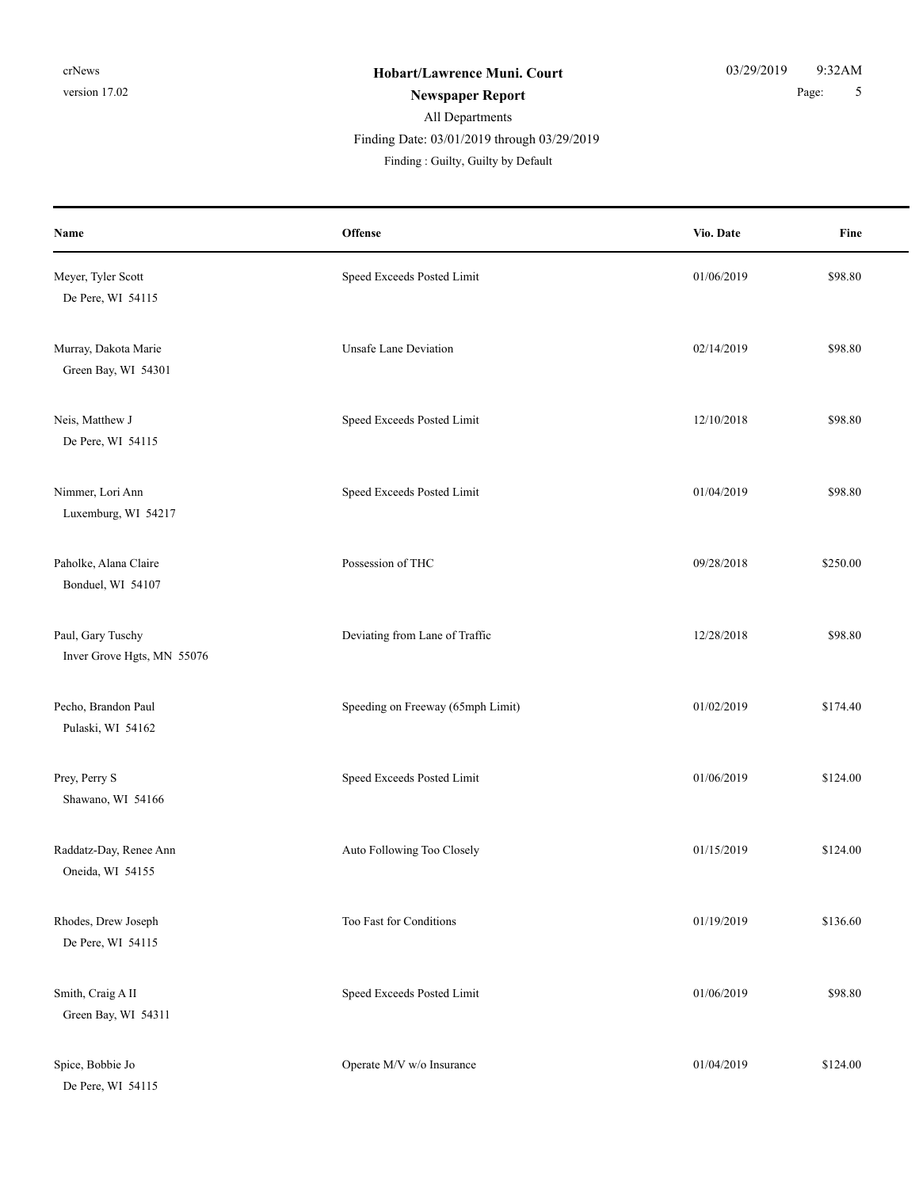### All Departments **Newspaper Report** 5 Finding : Guilty, Guilty by Default Finding Date: 03/01/2019 through 03/29/2019

| Name                                            | Offense                           | Vio. Date  | Fine     |
|-------------------------------------------------|-----------------------------------|------------|----------|
| Meyer, Tyler Scott<br>De Pere, WI 54115         | Speed Exceeds Posted Limit        | 01/06/2019 | \$98.80  |
| Murray, Dakota Marie<br>Green Bay, WI 54301     | <b>Unsafe Lane Deviation</b>      | 02/14/2019 | \$98.80  |
| Neis, Matthew J<br>De Pere, WI 54115            | Speed Exceeds Posted Limit        | 12/10/2018 | \$98.80  |
| Nimmer, Lori Ann<br>Luxemburg, WI 54217         | Speed Exceeds Posted Limit        | 01/04/2019 | \$98.80  |
| Paholke, Alana Claire<br>Bonduel, WI 54107      | Possession of THC                 | 09/28/2018 | \$250.00 |
| Paul, Gary Tuschy<br>Inver Grove Hgts, MN 55076 | Deviating from Lane of Traffic    | 12/28/2018 | \$98.80  |
| Pecho, Brandon Paul<br>Pulaski, WI 54162        | Speeding on Freeway (65mph Limit) | 01/02/2019 | \$174.40 |
| Prey, Perry S<br>Shawano, WI 54166              | Speed Exceeds Posted Limit        | 01/06/2019 | \$124.00 |
| Raddatz-Day, Renee Ann<br>Oneida, WI 54155      | Auto Following Too Closely        | 01/15/2019 | \$124.00 |
| Rhodes, Drew Joseph<br>De Pere, WI 54115        | Too Fast for Conditions           | 01/19/2019 | \$136.60 |
| Smith, Craig A II<br>Green Bay, WI 54311        | Speed Exceeds Posted Limit        | 01/06/2019 | \$98.80  |
| Spice, Bobbie Jo<br>De Pere, WI 54115           | Operate M/V w/o Insurance         | 01/04/2019 | \$124.00 |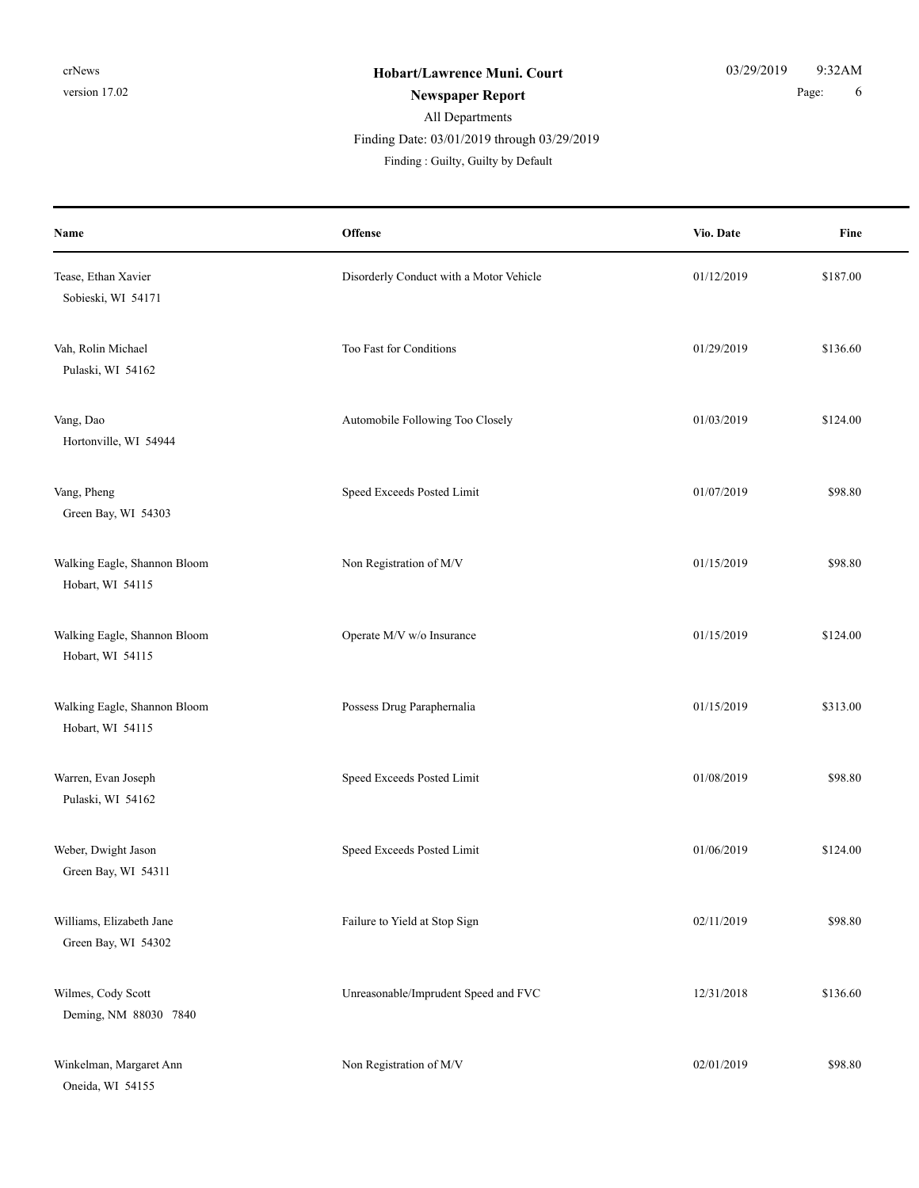# All Departments Finding : Guilty, Guilty by Default Finding Date: 03/01/2019 through 03/29/2019

| Name                                             | Offense                                 | Vio. Date  | Fine     |
|--------------------------------------------------|-----------------------------------------|------------|----------|
| Tease, Ethan Xavier<br>Sobieski, WI 54171        | Disorderly Conduct with a Motor Vehicle | 01/12/2019 | \$187.00 |
| Vah, Rolin Michael<br>Pulaski, WI 54162          | Too Fast for Conditions                 | 01/29/2019 | \$136.60 |
| Vang, Dao<br>Hortonville, WI 54944               | Automobile Following Too Closely        | 01/03/2019 | \$124.00 |
| Vang, Pheng<br>Green Bay, WI 54303               | Speed Exceeds Posted Limit              | 01/07/2019 | \$98.80  |
| Walking Eagle, Shannon Bloom<br>Hobart, WI 54115 | Non Registration of M/V                 | 01/15/2019 | \$98.80  |
| Walking Eagle, Shannon Bloom<br>Hobart, WI 54115 | Operate M/V w/o Insurance               | 01/15/2019 | \$124.00 |
| Walking Eagle, Shannon Bloom<br>Hobart, WI 54115 | Possess Drug Paraphernalia              | 01/15/2019 | \$313.00 |
| Warren, Evan Joseph<br>Pulaski, WI 54162         | Speed Exceeds Posted Limit              | 01/08/2019 | \$98.80  |
| Weber, Dwight Jason<br>Green Bay, WI 54311       | Speed Exceeds Posted Limit              | 01/06/2019 | \$124.00 |
| Williams, Elizabeth Jane<br>Green Bay, WI 54302  | Failure to Yield at Stop Sign           | 02/11/2019 | \$98.80  |
| Wilmes, Cody Scott<br>Deming, NM 88030 7840      | Unreasonable/Imprudent Speed and FVC    | 12/31/2018 | \$136.60 |
| Winkelman, Margaret Ann<br>Oneida, WI 54155      | Non Registration of M/V                 | 02/01/2019 | \$98.80  |